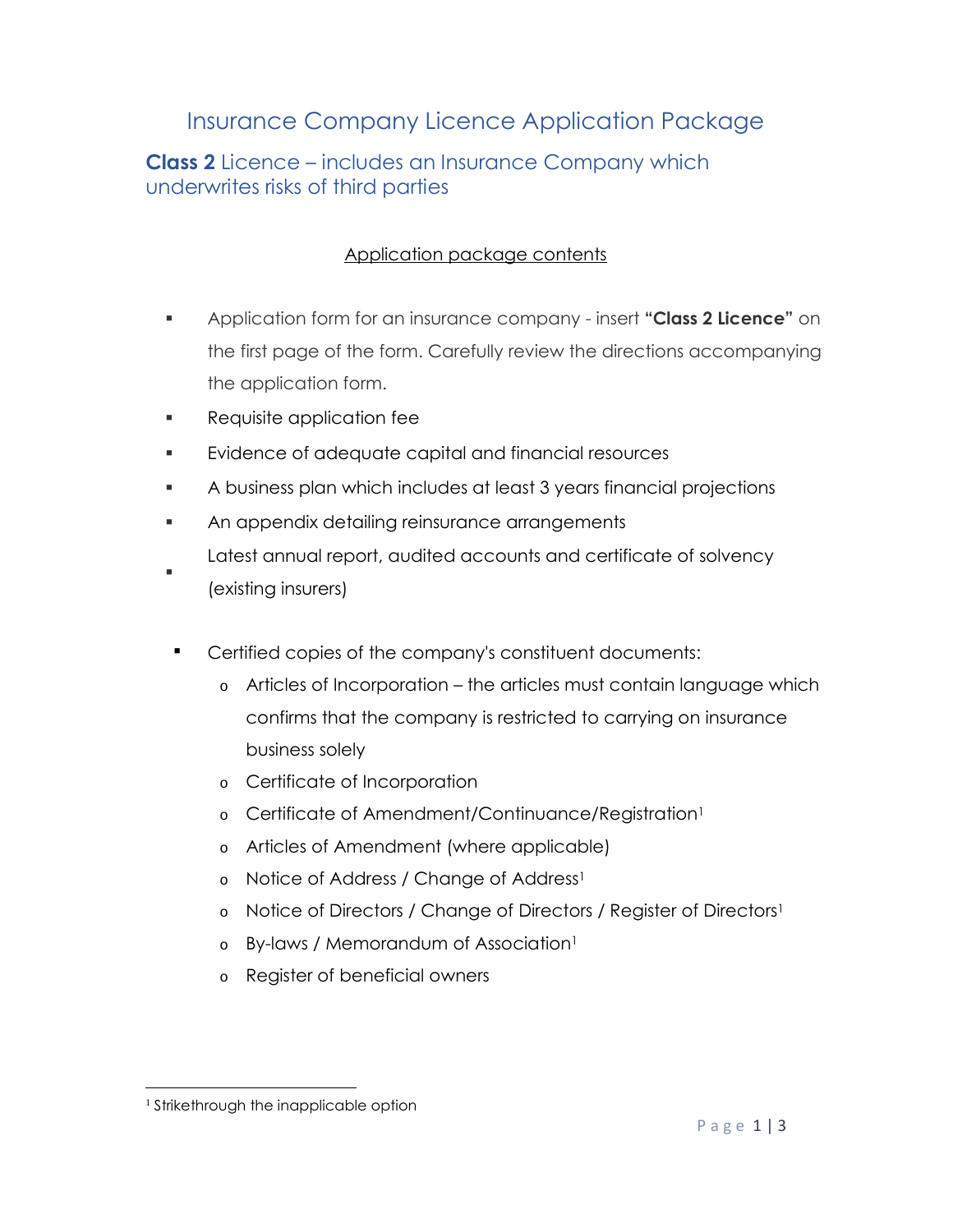# Insurance Company Licence Application Package

**Class 2** Licence – includes an Insurance Company which underwrites risks of third parties

#### Application package contents

- Application form for an insurance company insert **"Class 2 Licence"** on the first page of the form. Carefully review the directions accompanying the application form.
- **Requisite application fee**
- Evidence of adequate capital and financial resources
- A business plan which includes at least 3 years financial projections
- **An appendix detailing reinsurance arrangements** Latest annual report, audited accounts and certificate of solvency
- : (existing insurers)
- Certified copies of the company's constituent documents:
	- o Articles of Incorporation the articles must contain language which confirms that the company is restricted to carrying on insurance business solely
	- o Certificate of Incorporation
	- o Certificate of Amendment/Continuance/Registration<sup>1</sup>
	- o Articles of Amendment (where applicable)
	- o Notice of Address / Change of Address<sup>1</sup>
	- o Notice of Directors / Change of Directors / Register of Directors<sup>1</sup>
	- o By-laws / Memorandum of Association<sup>1</sup>
	- o Register of beneficial owners

<sup>&</sup>lt;sup>1</sup> Strikethrough the inapplicable option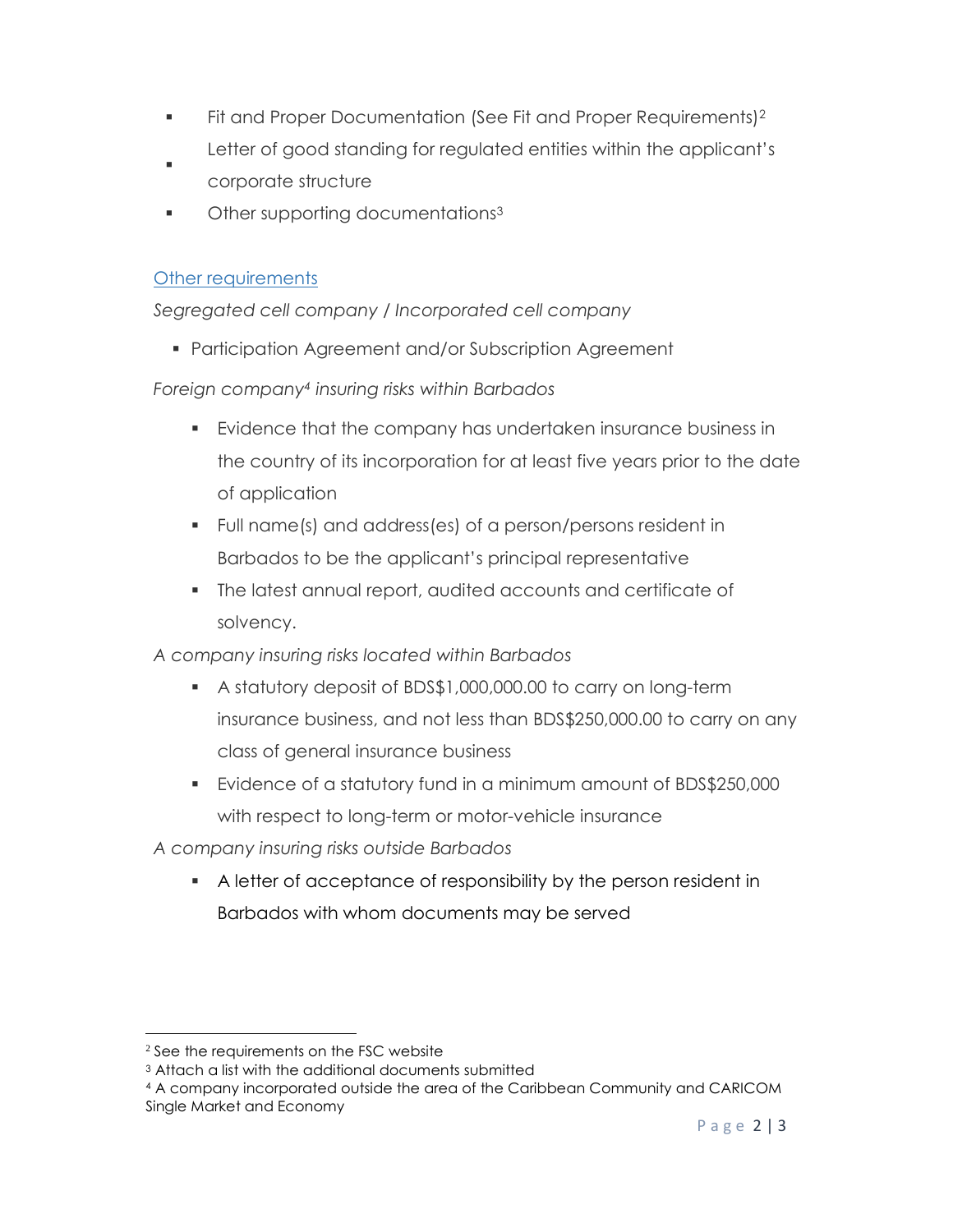- Fit and Proper Documentation (See Fit and Proper Requirements)<sup>2</sup> Letter of good standing for regulated entities within the applicant's
- $\blacksquare$ corporate structure
- Other supporting documentations<sup>3</sup>

#### Other requirements

*Segregated cell company / Incorporated cell company*

Participation Agreement and/or Subscription Agreement

### *Foreign company4 insuring risks within Barbados*

- Evidence that the company has undertaken insurance business in the country of its incorporation for at least five years prior to the date of application
- Full name(s) and address(es) of a person/persons resident in Barbados to be the applicant's principal representative
- The latest annual report, audited accounts and certificate of solvency.

## *A company insuring risks located within Barbados*

- A statutory deposit of BDS\$1,000,000.00 to carry on long-term insurance business, and not less than BDS\$250,000.00 to carry on any class of general insurance business
- Evidence of a statutory fund in a minimum amount of BDS\$250,000 with respect to long-term or motor-vehicle insurance

*A company insuring risks outside Barbados* 

 A letter of acceptance of responsibility by the person resident in Barbados with whom documents may be served

<sup>&</sup>lt;sup>2</sup> See the requirements on the FSC website

<sup>3</sup> Attach a list with the additional documents submitted

<sup>4</sup> A company incorporated outside the area of the Caribbean Community and CARICOM Single Market and Economy